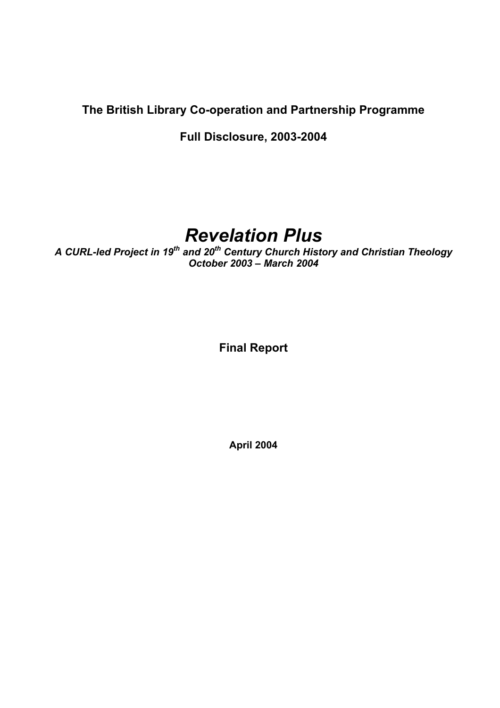# **The British Library Co-operation and Partnership Programme**

**Full Disclosure, 2003-2004** 

# *Revelation Plus*

*A CURL-led Project in 19th and 20th Century Church History and Christian Theology October 2003 – March 2004* 

**Final Report** 

**April 2004**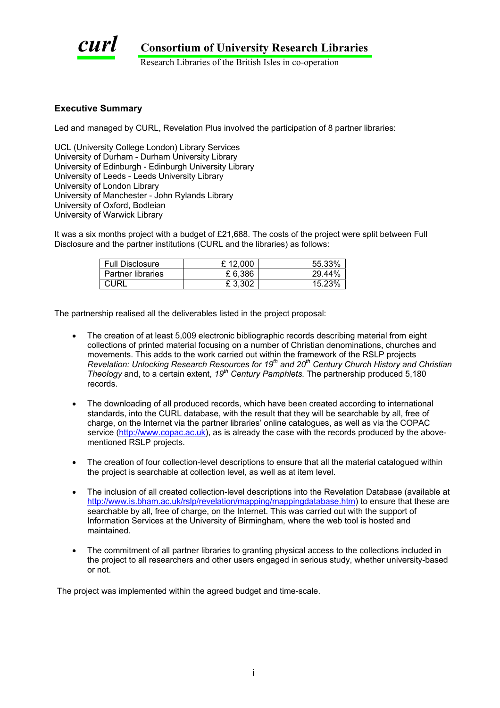

Research Libraries of the British Isles in co-operation

#### **Executive Summary**

Led and managed by CURL, Revelation Plus involved the participation of 8 partner libraries:

UCL (University College London) Library Services University of Durham - Durham University Library University of Edinburgh - Edinburgh University Library University of Leeds - Leeds University Library University of London Library University of Manchester - John Rylands Library University of Oxford, Bodleian University of Warwick Library

It was a six months project with a budget of £21,688. The costs of the project were split between Full Disclosure and the partner institutions (CURL and the libraries) as follows:

| <b>Full Disclosure</b> | £12.000 | 55.33% |
|------------------------|---------|--------|
| Partner libraries      | £ 6.386 | 29.44% |
| CURL                   | £3,302  | 15.23% |

The partnership realised all the deliverables listed in the project proposal:

- The creation of at least 5,009 electronic bibliographic records describing material from eight collections of printed material focusing on a number of Christian denominations, churches and movements. This adds to the work carried out within the framework of the RSLP projects *Revelation: Unlocking Research Resources for 19th and 20th Century Church History and Christian Theology* and, to a certain extent, *19th Century Pamphlets.* The partnership produced 5,180 records.
- The downloading of all produced records, which have been created according to international standards, into the CURL database, with the result that they will be searchable by all, free of charge, on the Internet via the partner libraries' online catalogues, as well as via the COPAC service ([http://www.copac.ac.uk](http://www.copac.ac.uk/)), as is already the case with the records produced by the abovementioned RSLP projects.
- The creation of four collection-level descriptions to ensure that all the material catalogued within the project is searchable at collection level, as well as at item level.
- The inclusion of all created collection-level descriptions into the Revelation Database (available at [http://www.is.bham.ac.uk/rslp/revelation/mapping/mappingdatabase.htm\)](http://www.is.bham.ac.uk/rslp/revelation/mapping/mappingdatabase.htm) to ensure that these are searchable by all, free of charge, on the Internet. This was carried out with the support of Information Services at the University of Birmingham, where the web tool is hosted and maintained.
- The commitment of all partner libraries to granting physical access to the collections included in the project to all researchers and other users engaged in serious study, whether university-based or not.

The project was implemented within the agreed budget and time-scale.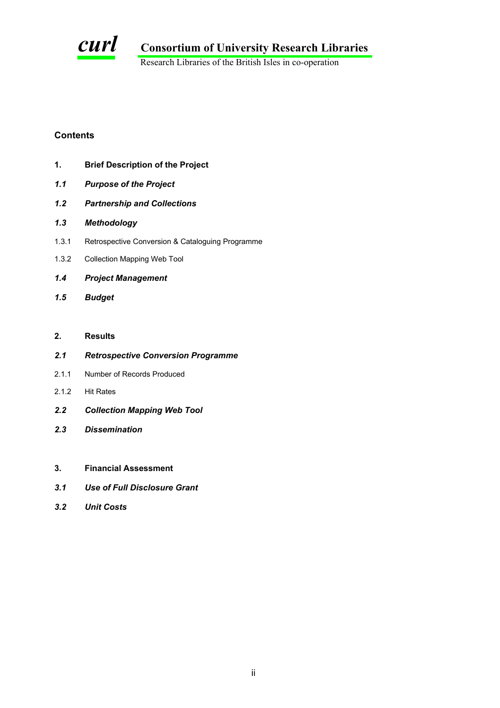

Research Libraries of the British Isles in co-operation

### **Contents**

- **1. Brief Description of the Project**
- *1.1 Purpose of the Project*
- *1.2 Partnership and Collections*
- *1.3 Methodology*
- 1.3.1 Retrospective Conversion & Cataloguing Programme
- 1.3.2 Collection Mapping Web Tool
- *1.4 Project Management*
- *1.5 Budget*

## **2. Results**

- *2.1 Retrospective Conversion Programme*
- 2.1.1 Number of Records Produced
- 2.1.2 Hit Rates
- *2.2 Collection Mapping Web Tool*
- *2.3 Dissemination*
- **3. Financial Assessment**
- *3.1 Use of Full Disclosure Grant*
- *3.2 Unit Costs*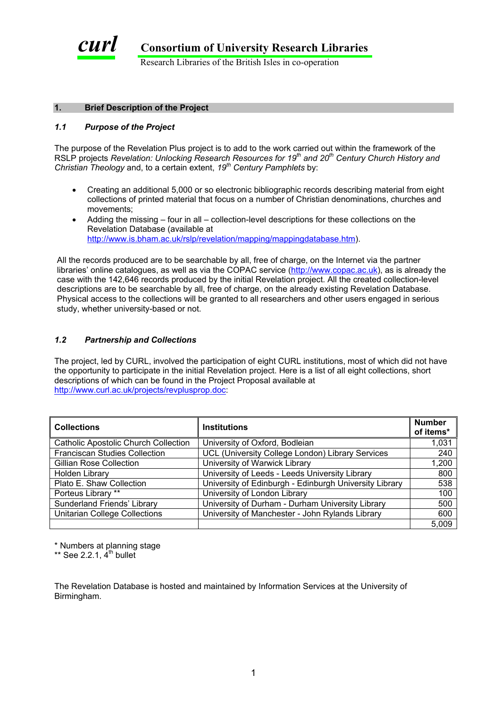

Research Libraries of the British Isles in co-operation

#### **1. Brief Description of the Project**

#### *1.1 Purpose of the Project*

The purpose of the Revelation Plus project is to add to the work carried out within the framework of the RSLP projects *Revelation: Unlocking Research Resources for 19th and 20th Century Church History and Christian Theology* and, to a certain extent, *19th Century Pamphlets* by:

- Creating an additional 5,000 or so electronic bibliographic records describing material from eight collections of printed material that focus on a number of Christian denominations, churches and movements;
- Adding the missing four in all collection-level descriptions for these collections on the Revelation Database (available at [http://www.is.bham.ac.uk/rslp/revelation/mapping/mappingdatabase.htm\)](http://www.is.bham.ac.uk/rslp/revelation/mapping/mappingdatabase.htm).

All the records produced are to be searchable by all, free of charge, on the Internet via the partner libraries' online catalogues, as well as via the COPAC service [\(http://www.copac.ac.uk](http://www.copac.ac.uk/)), as is already the case with the 142,646 records produced by the initial Revelation project. All the created collection-level descriptions are to be searchable by all, free of charge, on the already existing Revelation Database. Physical access to the collections will be granted to all researchers and other users engaged in serious study, whether university-based or not.

#### *1.2 Partnership and Collections*

The project, led by CURL, involved the participation of eight CURL institutions, most of which did not have the opportunity to participate in the initial Revelation project. Here is a list of all eight collections, short descriptions of which can be found in the Project Proposal available at [http://www.curl.ac.uk/projects/revplusprop.doc:](http://www.curl.ac.uk/projects/revplusfinal.doc)

| <b>Collections</b>                          | <b>Institutions</b>                                    | <b>Number</b><br>of items* |
|---------------------------------------------|--------------------------------------------------------|----------------------------|
| <b>Catholic Apostolic Church Collection</b> | University of Oxford, Bodleian                         | 1,031                      |
| Franciscan Studies Collection               | UCL (University College London) Library Services       | 240                        |
| <b>Gillian Rose Collection</b>              | University of Warwick Library                          | 1,200                      |
| <b>Holden Library</b>                       | University of Leeds - Leeds University Library         | 800                        |
| Plato E. Shaw Collection                    | University of Edinburgh - Edinburgh University Library | 538                        |
| Porteus Library **                          | University of London Library                           | 100                        |
| Sunderland Friends' Library                 | University of Durham - Durham University Library       | 500                        |
| <b>Unitarian College Collections</b>        | University of Manchester - John Rylands Library        | 600                        |
|                                             |                                                        | 5,009                      |

\* Numbers at planning stage

 $**$  See 2.2.1,  $4<sup>th</sup>$  bullet

The Revelation Database is hosted and maintained by Information Services at the University of Birmingham.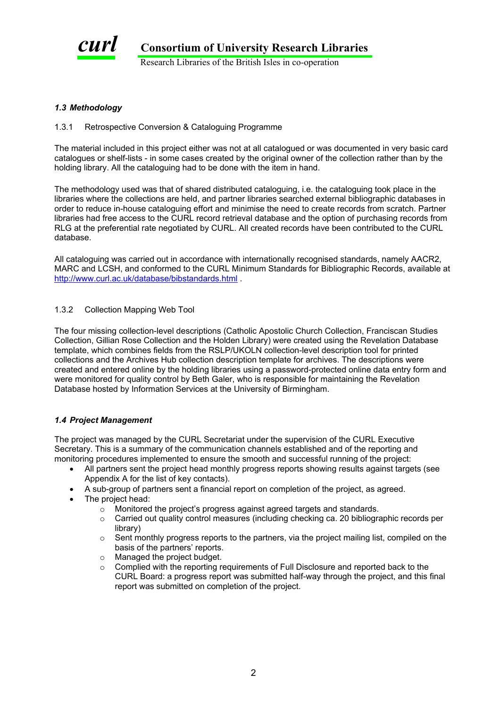

#### *1.3 Methodology*

#### 1.3.1 Retrospective Conversion & Cataloguing Programme

The material included in this project either was not at all catalogued or was documented in very basic card catalogues or shelf-lists - in some cases created by the original owner of the collection rather than by the holding library. All the cataloguing had to be done with the item in hand.

The methodology used was that of shared distributed cataloguing, i.e. the cataloguing took place in the libraries where the collections are held, and partner libraries searched external bibliographic databases in order to reduce in-house cataloguing effort and minimise the need to create records from scratch. Partner libraries had free access to the CURL record retrieval database and the option of purchasing records from RLG at the preferential rate negotiated by CURL. All created records have been contributed to the CURL database.

All cataloguing was carried out in accordance with internationally recognised standards, namely AACR2, MARC and LCSH, and conformed to the CURL Minimum Standards for Bibliographic Records, available at <http://www.curl.ac.uk/database/bibstandards.html>.

#### 1.3.2 Collection Mapping Web Tool

The four missing collection-level descriptions (Catholic Apostolic Church Collection, Franciscan Studies Collection, Gillian Rose Collection and the Holden Library) were created using the Revelation Database template, which combines fields from the RSLP/UKOLN collection-level description tool for printed collections and the Archives Hub collection description template for archives. The descriptions were created and entered online by the holding libraries using a password-protected online data entry form and were monitored for quality control by Beth Galer, who is responsible for maintaining the Revelation Database hosted by Information Services at the University of Birmingham.

#### *1.4 Project Management*

The project was managed by the CURL Secretariat under the supervision of the CURL Executive Secretary. This is a summary of the communication channels established and of the reporting and monitoring procedures implemented to ensure the smooth and successful running of the project:

- All partners sent the project head monthly progress reports showing results against targets (see Appendix A for the list of key contacts).
- A sub-group of partners sent a financial report on completion of the project, as agreed.
- The project head:
	- o Monitored the project's progress against agreed targets and standards.
	- o Carried out quality control measures (including checking ca. 20 bibliographic records per library)
	- $\circ$  Sent monthly progress reports to the partners, via the project mailing list, compiled on the basis of the partners' reports.
	- o Managed the project budget.
	- o Complied with the reporting requirements of Full Disclosure and reported back to the CURL Board: a progress report was submitted half-way through the project, and this final report was submitted on completion of the project.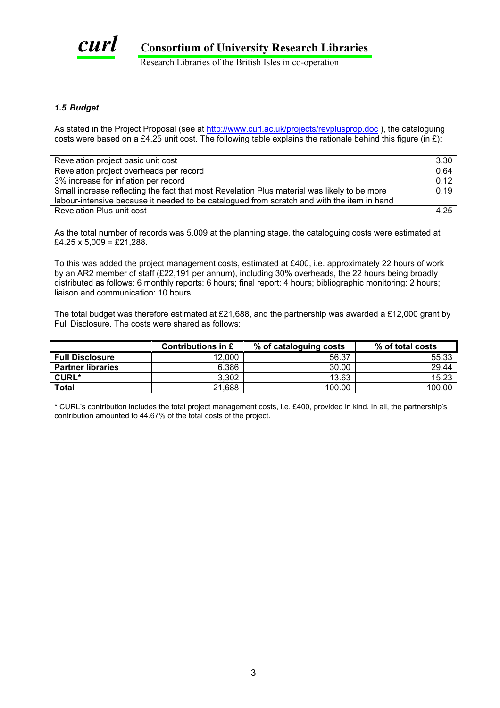

Research Libraries of the British Isles in co-operation

#### *1.5 Budget*

As stated in the Project Proposal (see at [http://www.curl.ac.uk/projects/revplusprop.doc](http://www.curl.ac.uk/projects/revplusfinal.doc) ), the cataloguing costs were based on a £4.25 unit cost. The following table explains the rationale behind this figure (in £):

| Revelation project basic unit cost                                                          | 3.30 |
|---------------------------------------------------------------------------------------------|------|
| Revelation project overheads per record                                                     | 0.64 |
| 3% increase for inflation per record                                                        | 0.12 |
| Small increase reflecting the fact that most Revelation Plus material was likely to be more | 0.19 |
| labour-intensive because it needed to be catalogued from scratch and with the item in hand  |      |
| <b>Revelation Plus unit cost</b>                                                            | 4.25 |

As the total number of records was 5,009 at the planning stage, the cataloguing costs were estimated at  $£4.25 \times 5,009 = £21,288.$ 

To this was added the project management costs, estimated at £400, i.e. approximately 22 hours of work by an AR2 member of staff (£22,191 per annum), including 30% overheads, the 22 hours being broadly distributed as follows: 6 monthly reports: 6 hours; final report: 4 hours; bibliographic monitoring: 2 hours; liaison and communication: 10 hours.

The total budget was therefore estimated at £21,688, and the partnership was awarded a £12,000 grant by Full Disclosure. The costs were shared as follows:

|                          | Contributions in £ | % of cataloguing costs | % of total costs |
|--------------------------|--------------------|------------------------|------------------|
| <b>Full Disclosure</b>   | 12,000             | 56.37                  | 55.33            |
| <b>Partner libraries</b> | 6,386              | 30.00                  | 29.44            |
| <b>CURL*</b>             | 3,302              | 13.63                  | 15.23            |
| <b>Total</b>             | 21,688             | 100.00                 | 100.00           |

\* CURL's contribution includes the total project management costs, i.e. £400, provided in kind. In all, the partnership's contribution amounted to 44.67% of the total costs of the project.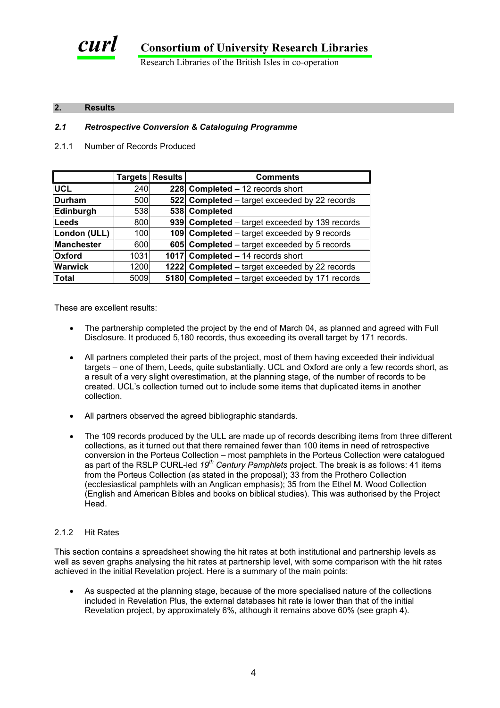

#### **2. Results**

# *2.1 Retrospective Conversion & Cataloguing Programme*

2.1.1 Number of Records Produced

|                   |      | Targets   Results | <b>Comments</b>                                 |
|-------------------|------|-------------------|-------------------------------------------------|
| <b>UCL</b>        | 240  |                   | 228 Completed - 12 records short                |
| Durham            | 500  |                   | 522 Completed – target exceeded by 22 records   |
| Edinburgh         | 538  |                   | 538 Completed                                   |
| Leeds             | 800  |                   | 939 Completed - target exceeded by 139 records  |
| London (ULL)      | 100  |                   | 109 Completed – target exceeded by 9 records    |
| <b>Manchester</b> | 600  |                   | 605 Completed – target exceeded by 5 records    |
| <b>Oxford</b>     | 1031 |                   | 1017 Completed - 14 records short               |
| <b>Warwick</b>    | 1200 |                   | 1222 Completed – target exceeded by 22 records  |
| Total             | 5009 |                   | 5180 Completed – target exceeded by 171 records |

These are excellent results:

- The partnership completed the project by the end of March 04, as planned and agreed with Full Disclosure. It produced 5,180 records, thus exceeding its overall target by 171 records.
- All partners completed their parts of the project, most of them having exceeded their individual targets – one of them, Leeds, quite substantially. UCL and Oxford are only a few records short, as a result of a very slight overestimation, at the planning stage, of the number of records to be created. UCL's collection turned out to include some items that duplicated items in another collection.
- All partners observed the agreed bibliographic standards.
- The 109 records produced by the ULL are made up of records describing items from three different collections, as it turned out that there remained fewer than 100 items in need of retrospective conversion in the Porteus Collection – most pamphlets in the Porteus Collection were catalogued as part of the RSLP CURL-led *19th Century Pamphlets* project. The break is as follows: 41 items from the Porteus Collection (as stated in the proposal); 33 from the Prothero Collection (ecclesiastical pamphlets with an Anglican emphasis); 35 from the Ethel M. Wood Collection (English and American Bibles and books on biblical studies). This was authorised by the Project Head.

#### 2.1.2 Hit Rates

This section contains a spreadsheet showing the hit rates at both institutional and partnership levels as well as seven graphs analysing the hit rates at partnership level, with some comparison with the hit rates achieved in the initial Revelation project. Here is a summary of the main points:

• As suspected at the planning stage, because of the more specialised nature of the collections included in Revelation Plus, the external databases hit rate is lower than that of the initial Revelation project, by approximately 6%, although it remains above 60% (see graph 4).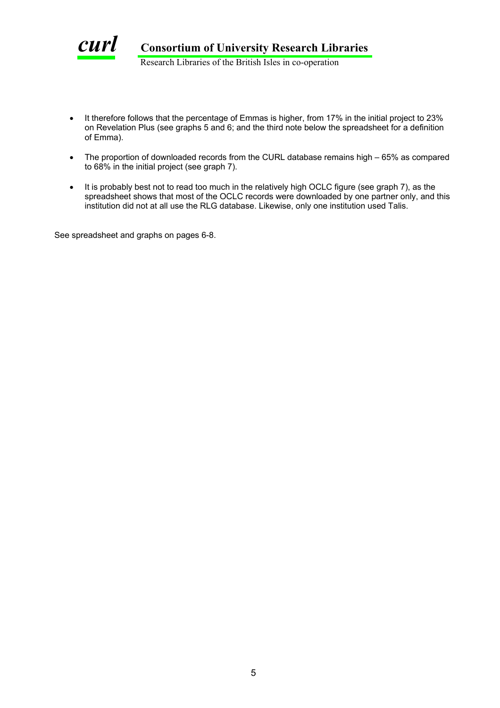

- It therefore follows that the percentage of Emmas is higher, from 17% in the initial project to 23% on Revelation Plus (see graphs 5 and 6; and the third note below the spreadsheet for a definition of Emma).
- The proportion of downloaded records from the CURL database remains high 65% as compared to 68% in the initial project (see graph 7).
- It is probably best not to read too much in the relatively high OCLC figure (see graph 7), as the spreadsheet shows that most of the OCLC records were downloaded by one partner only, and this institution did not at all use the RLG database. Likewise, only one institution used Talis.

See spreadsheet and graphs on pages 6-8.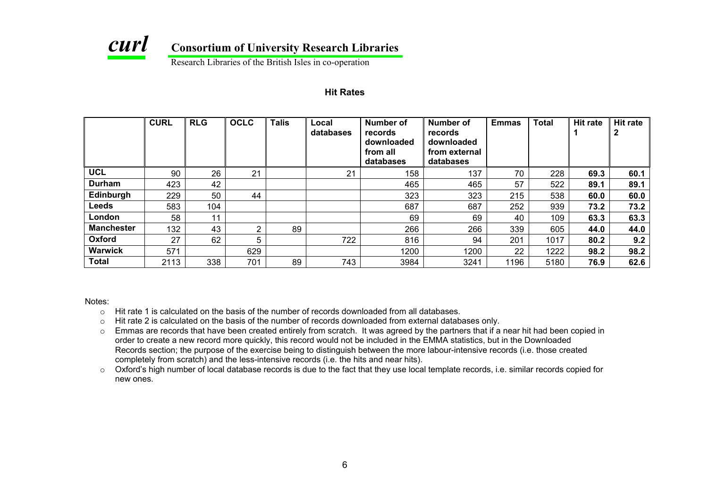

Research Libraries of the British Isles in co-operation

#### **Hit Rates**

|                   | <b>CURL</b> | <b>RLG</b> | <b>OCLC</b> | <b>Talis</b> | Local<br>databases | Number of<br>records<br>downloaded<br>from all<br>databases | Number of<br>records<br>downloaded<br>from external<br>databases | <b>Emmas</b> | <b>Total</b> | <b>Hit rate</b> | <b>Hit rate</b><br>$\mathbf{2}$ |
|-------------------|-------------|------------|-------------|--------------|--------------------|-------------------------------------------------------------|------------------------------------------------------------------|--------------|--------------|-----------------|---------------------------------|
| <b>UCL</b>        | 90          | 26         | 21          |              | 21                 | 158                                                         | 137                                                              | 70           | 228          | 69.3            | 60.1                            |
| <b>Durham</b>     | 423         | 42         |             |              |                    | 465                                                         | 465                                                              | 57           | 522          | 89.1            | 89.1                            |
| Edinburgh         | 229         | 50         | 44          |              |                    | 323                                                         | 323                                                              | 215          | 538          | 60.0            | 60.0                            |
| <b>Leeds</b>      | 583         | 104        |             |              |                    | 687                                                         | 687                                                              | 252          | 939          | 73.2            | 73.2                            |
| London            | 58          | 11         |             |              |                    | 69                                                          | 69                                                               | 40           | 109          | 63.3            | 63.3                            |
| <b>Manchester</b> | 132         | 43         | 2           | 89           |                    | 266                                                         | 266                                                              | 339          | 605          | 44.0            | 44.0                            |
| Oxford            | 27          | 62         | 5           |              | 722                | 816                                                         | 94                                                               | 201          | 1017         | 80.2            | 9.2                             |
| Warwick           | 571         |            | 629         |              |                    | 1200                                                        | 1200                                                             | 22           | 1222         | 98.2            | 98.2                            |
| <b>Total</b>      | 2113        | 338        | 701         | 89           | 743                | 3984                                                        | 3241                                                             | 1196         | 5180         | 76.9            | 62.6                            |

Notes:

- $\circ$  Hit rate 1 is calculated on the basis of the number of records downloaded from all databases.
- oHit rate 2 is calculated on the basis of the number of records downloaded from external databases only.
- o Emmas are records that have been created entirely from scratch. It was agreed by the partners that if a near hit had been copied in order to create a new record more quickly, this record would not be included in the EMMA statistics, but in the Downloaded Records section; the purpose of the exercise being to distinguish between the more labour-intensive records (i.e. those created completely from scratch) and the less-intensive records (i.e. the hits and near hits).
- $\circ$  Oxford's high number of local database records is due to the fact that they use local template records, i.e. similar records copied for new ones.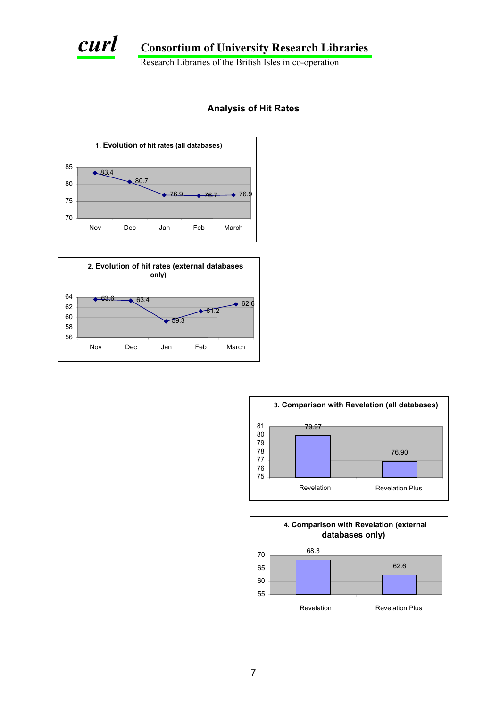

Research Libraries of the British Isles in co-operation

## **Analysis of Hit Rates**







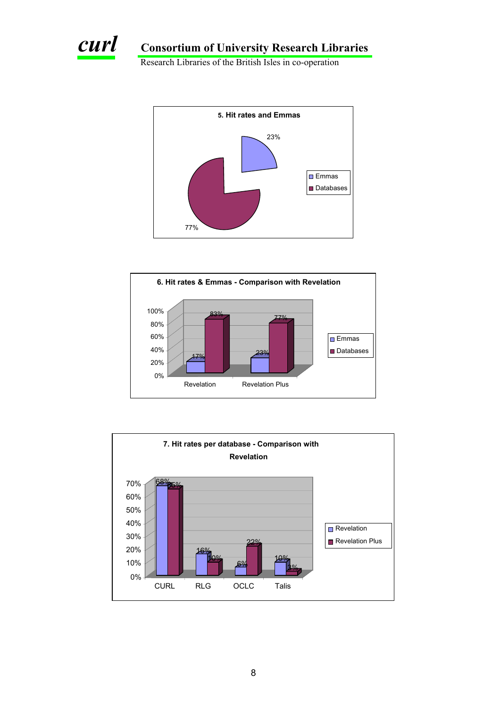

Research Libraries of the British Isles in co-operation





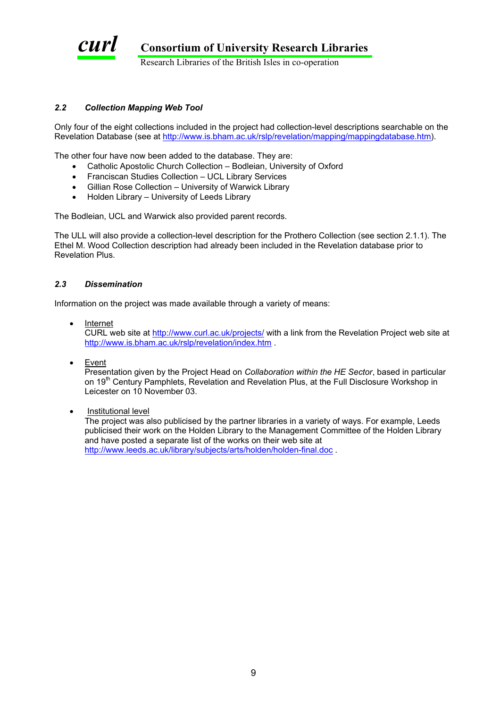

Research Libraries of the British Isles in co-operation

#### *2.2 Collection Ma pping Web Tool*

Only four of the eight collections included in the project had collection-level descriptions searchable on the Revelation Database (see at http://www.is.bham.ac.uk/rslp/revelation/mapping/mappingdatabase.htm).

The other four have now been added to the database. They are:

- Catholic Apostolic Church Collection Bodleian, University of Oxford
- Franciscan Studies Collection UCL Library Services
- Gillian Rose Collection University of Warwick Library
- Holden Library University of Leeds Library

The Bodleian, UCL and Warwick also provided parent records.

The ULL will also provide a collection-level description for the Prothero Collection (see section 2.1.1). The Ethel M. Wood Collection description had already been included in the Revelation database prior to Revelation Plus.

#### *2.3 Dissemina tion*

Information on the project was made available through a variety of means:

- Internet CURL web site at http://www.curl.ac.uk/projects/ with a link from the Revelation Project web site at http://www.is.bham.ac.uk/rslp/revelation/index.htm .
- Event

Presentation given by the Project Head on *Collaboration within the HE Sector*, based in particular on 19<sup>th</sup> Century Pamphlets, Revelation and Revelation Plus, at the Full Disclosure Workshop in Leicester on 10 November 03.

• Institutional level

The project was also publicised by the partner libraries in a variety of ways. For example, Leeds publicised their work on the Holden Library to the Management Committee of the Holden Library and have p osted a separate list of the works on their web site at http://www.leeds.ac.uk/library/subjects/arts/holden/holden-final.doc .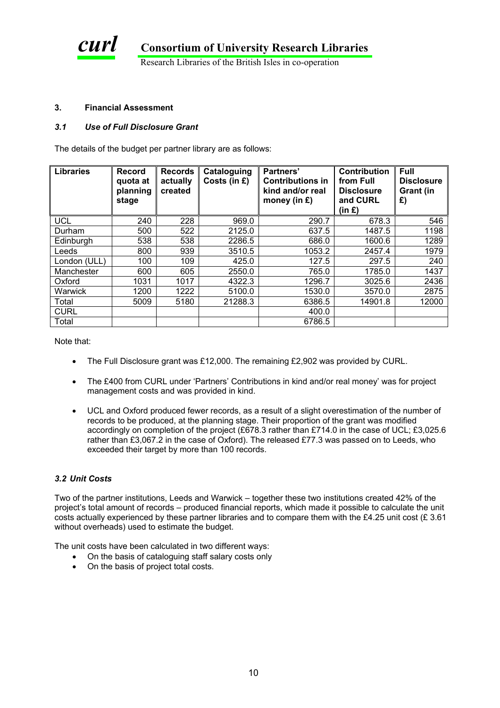

#### **3. Financial Assessment**

#### *3.1 Use of Full Disclosure Grant*

The details of the budget per partner library are as follows:

| Libraries      | <b>Record</b><br>quota at<br>planning<br>stage | <b>Records</b><br>actually<br>created | Cataloguing<br>Costs (in £) | Partners'<br><b>Contributions in</b><br>kind and/or real<br>money (in $E$ ) | <b>Contribution</b><br>from Full<br><b>Disclosure</b><br>and CURL<br>(in <b>E</b> ) | <b>Full</b><br><b>Disclosure</b><br>Grant (in<br>£) |
|----------------|------------------------------------------------|---------------------------------------|-----------------------------|-----------------------------------------------------------------------------|-------------------------------------------------------------------------------------|-----------------------------------------------------|
| <b>UCL</b>     | 240                                            | 228                                   | 969.0                       | 290.7                                                                       | 678.3                                                                               | 546                                                 |
| Durham         | 500                                            | 522                                   | 2125.0                      | 637.5                                                                       | 1487.5                                                                              | 1198                                                |
| Edinburgh      | 538                                            | 538                                   | 2286.5                      | 686.0                                                                       | 1600.6                                                                              | 1289                                                |
| Leeds          | 800                                            | 939                                   | 3510.5                      | 1053.2                                                                      | 2457.4                                                                              | 1979                                                |
| London (ULL)   | 100                                            | 109                                   | 425.0                       | 127.5                                                                       | 297.5                                                                               | 240                                                 |
| Manchester     | 600                                            | 605                                   | 2550.0                      | 765.0                                                                       | 1785.0                                                                              | 1437                                                |
| Oxford         | 1031                                           | 1017                                  | 4322.3                      | 1296.7                                                                      | 3025.6                                                                              | 2436                                                |
| <b>Warwick</b> | 1200                                           | 1222                                  | 5100.0                      | 1530.0                                                                      | 3570.0                                                                              | 2875                                                |
| Total          | 5009                                           | 5180                                  | 21288.3                     | 6386.5                                                                      | 14901.8                                                                             | 12000                                               |
| <b>CURL</b>    |                                                |                                       |                             | 400.0                                                                       |                                                                                     |                                                     |
| Total          |                                                |                                       |                             | 6786.5                                                                      |                                                                                     |                                                     |

Note th at:

- The Full Disclosure grant was £12,000. The remaining £2,902 was provided by CURL.
- management costs and was provided in kind. The £400 from CURL under 'Partners' Contributions in kind and/or real money' was for project
- UCL and Oxford produced fewer records, as a result of a slight overestimation of the number of rather than £3,067.2 in the case of Oxford). The released £77.3 was passed on to Leeds, who records to be produced, at the planning stage. Their proportion of the grant was modified accordingly on completion of the project (£678.3 rather than £714.0 in the case of UCL; £3,025.6 [exceeded their target by more than 100 records.](http://www.leeds.ac.uk/library/subjects/arts/holden/holden-final.doc)

#### *3.2 Unit Costs*

Two of the partner institutions, Leeds and Warwick – together these two institutions created 42% of the project's total amount of records – produced financial reports, which made it possible to calculate the unit costs actually experienced by these partner libraries and to compare them with the £4.25 unit cost (£ 3.61 without overheads) used to estimate the budget.

The unit costs have been calculated in two different ways:

- On the basis of cataloguing staff salary costs only
- On the basis of project total costs.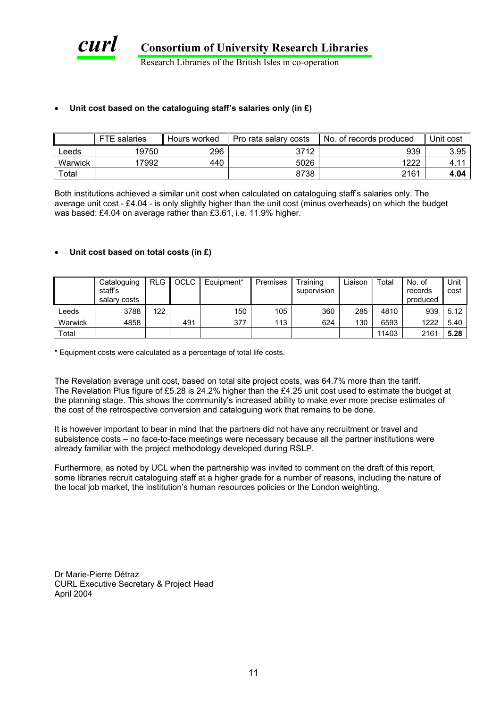

Research Libraries of the British Isles in co-operation

#### • **Unit cost based on the cataloguing staff's salaries only (in £)**

|         | <b>FTE</b><br>salaries | Hours worked | Pro rata salary costs | No. of records produced | Unit cost |
|---------|------------------------|--------------|-----------------------|-------------------------|-----------|
| ∟eeds   | 19750                  | 296          | 3712                  | 939                     | 3.95      |
| Warwick | 17992                  | 440          | 5026                  | 1222                    | 4.1'      |
| Total   |                        |              | 8738                  | 2161                    | 4.04      |

Both institutions achieved a similar unit cost when calculated on cataloguing staff's salaries only. The average unit cost - £4.04 - is only slightly higher than the unit cost (minus overheads) on which the budget was based: £4.04 on average rather than £3.61, i.e. 11.9% higher.

#### • **Uni t cost based on total costs (in £)**

|         | Cataloguing  |     | RLG OCLC | Equipment* | Premises | Training    | Liaison | Total | No. of   | Unit |
|---------|--------------|-----|----------|------------|----------|-------------|---------|-------|----------|------|
|         | staff's      |     |          |            |          | supervision |         |       | records  | cost |
|         | salary costs |     |          |            |          |             |         |       | produced |      |
| _eeds   | 3788         | 122 |          | 150        | 105      | 360         | 285     | 4810  | 939      | 5.12 |
| Warwick | 4858         |     | 491      | 377        | 113      | 624         | 130     | 6593  | 1222     | 5.40 |
| Total   |              |     |          |            |          |             |         | 11403 | 2161     | 5.28 |

\* Equipment costs were calculated as a percentage of total life costs.

The Revelation average unit cost, based on total site project costs, was 64.7% more than the tariff. The Revelation Plus figure of £5.28 is 24.2% higher than the £4.25 unit cost used to estimate the budget at the planning stage. This shows the community's increased ability to make ever more precise estimates of the cost of the retrospective conversion and cataloguing work that remains to be done.

It is how ever important to bear in mind that the partners did not have any recruitment or travel and subsiste nce costs – no face-to-face meetings were necessary because all the partner institutions were already familiar with the project methodology developed during RSLP.

Furthermore, as noted by UCL when the partnership was invited to comment on the draft of this report, some libraries recruit cataloguing staff at a higher grade for a number of reasons, including the nature of the local job market, the institution's human resources policies or the London weighting.

Dr Marie-Pierre Détraz CURL Executive Secretary & Project Head April 2004